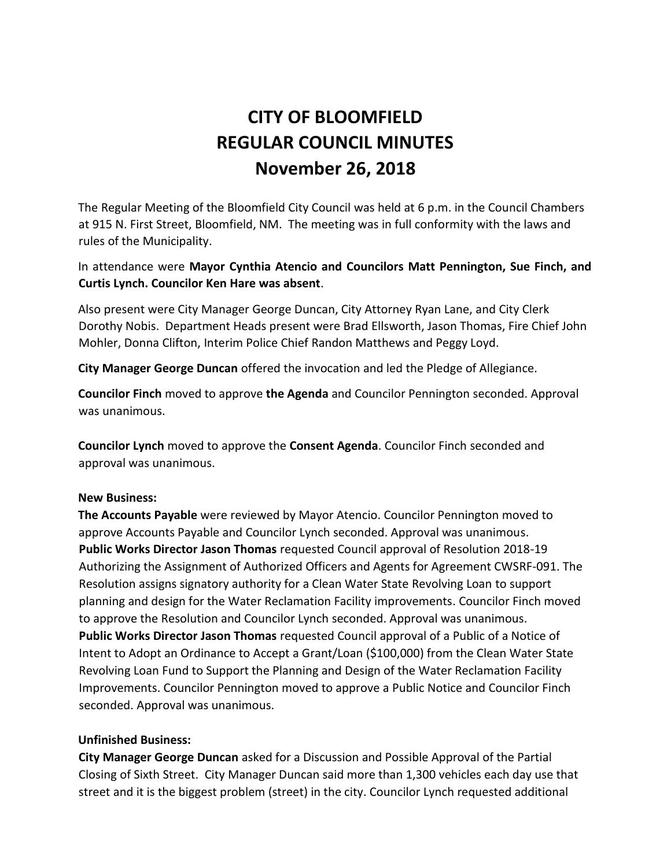# **CITY OF BLOOMFIELD REGULAR COUNCIL MINUTES November 26, 2018**

The Regular Meeting of the Bloomfield City Council was held at 6 p.m. in the Council Chambers at 915 N. First Street, Bloomfield, NM. The meeting was in full conformity with the laws and rules of the Municipality.

In attendance were **Mayor Cynthia Atencio and Councilors Matt Pennington, Sue Finch, and Curtis Lynch. Councilor Ken Hare was absent**.

Also present were City Manager George Duncan, City Attorney Ryan Lane, and City Clerk Dorothy Nobis. Department Heads present were Brad Ellsworth, Jason Thomas, Fire Chief John Mohler, Donna Clifton, Interim Police Chief Randon Matthews and Peggy Loyd.

**City Manager George Duncan** offered the invocation and led the Pledge of Allegiance.

**Councilor Finch** moved to approve **the Agenda** and Councilor Pennington seconded. Approval was unanimous.

**Councilor Lynch** moved to approve the **Consent Agenda**. Councilor Finch seconded and approval was unanimous.

## **New Business:**

**The Accounts Payable** were reviewed by Mayor Atencio. Councilor Pennington moved to approve Accounts Payable and Councilor Lynch seconded. Approval was unanimous. **Public Works Director Jason Thomas** requested Council approval of Resolution 2018-19 Authorizing the Assignment of Authorized Officers and Agents for Agreement CWSRF-091. The Resolution assigns signatory authority for a Clean Water State Revolving Loan to support planning and design for the Water Reclamation Facility improvements. Councilor Finch moved to approve the Resolution and Councilor Lynch seconded. Approval was unanimous. **Public Works Director Jason Thomas** requested Council approval of a Public of a Notice of Intent to Adopt an Ordinance to Accept a Grant/Loan (\$100,000) from the Clean Water State Revolving Loan Fund to Support the Planning and Design of the Water Reclamation Facility Improvements. Councilor Pennington moved to approve a Public Notice and Councilor Finch seconded. Approval was unanimous.

## **Unfinished Business:**

**City Manager George Duncan** asked for a Discussion and Possible Approval of the Partial Closing of Sixth Street. City Manager Duncan said more than 1,300 vehicles each day use that street and it is the biggest problem (street) in the city. Councilor Lynch requested additional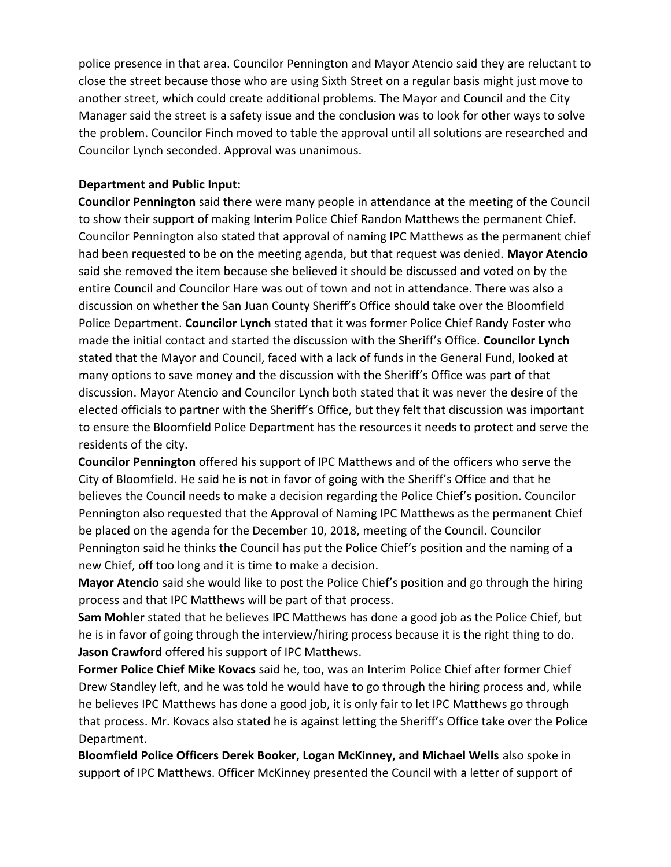police presence in that area. Councilor Pennington and Mayor Atencio said they are reluctant to close the street because those who are using Sixth Street on a regular basis might just move to another street, which could create additional problems. The Mayor and Council and the City Manager said the street is a safety issue and the conclusion was to look for other ways to solve the problem. Councilor Finch moved to table the approval until all solutions are researched and Councilor Lynch seconded. Approval was unanimous.

# **Department and Public Input:**

**Councilor Pennington** said there were many people in attendance at the meeting of the Council to show their support of making Interim Police Chief Randon Matthews the permanent Chief. Councilor Pennington also stated that approval of naming IPC Matthews as the permanent chief had been requested to be on the meeting agenda, but that request was denied. **Mayor Atencio** said she removed the item because she believed it should be discussed and voted on by the entire Council and Councilor Hare was out of town and not in attendance. There was also a discussion on whether the San Juan County Sheriff's Office should take over the Bloomfield Police Department. **Councilor Lynch** stated that it was former Police Chief Randy Foster who made the initial contact and started the discussion with the Sheriff's Office. **Councilor Lynch** stated that the Mayor and Council, faced with a lack of funds in the General Fund, looked at many options to save money and the discussion with the Sheriff's Office was part of that discussion. Mayor Atencio and Councilor Lynch both stated that it was never the desire of the elected officials to partner with the Sheriff's Office, but they felt that discussion was important to ensure the Bloomfield Police Department has the resources it needs to protect and serve the residents of the city.

**Councilor Pennington** offered his support of IPC Matthews and of the officers who serve the City of Bloomfield. He said he is not in favor of going with the Sheriff's Office and that he believes the Council needs to make a decision regarding the Police Chief's position. Councilor Pennington also requested that the Approval of Naming IPC Matthews as the permanent Chief be placed on the agenda for the December 10, 2018, meeting of the Council. Councilor Pennington said he thinks the Council has put the Police Chief's position and the naming of a new Chief, off too long and it is time to make a decision.

**Mayor Atencio** said she would like to post the Police Chief's position and go through the hiring process and that IPC Matthews will be part of that process.

**Sam Mohler** stated that he believes IPC Matthews has done a good job as the Police Chief, but he is in favor of going through the interview/hiring process because it is the right thing to do. **Jason Crawford** offered his support of IPC Matthews.

**Former Police Chief Mike Kovacs** said he, too, was an Interim Police Chief after former Chief Drew Standley left, and he was told he would have to go through the hiring process and, while he believes IPC Matthews has done a good job, it is only fair to let IPC Matthews go through that process. Mr. Kovacs also stated he is against letting the Sheriff's Office take over the Police Department.

**Bloomfield Police Officers Derek Booker, Logan McKinney, and Michael Wells** also spoke in support of IPC Matthews. Officer McKinney presented the Council with a letter of support of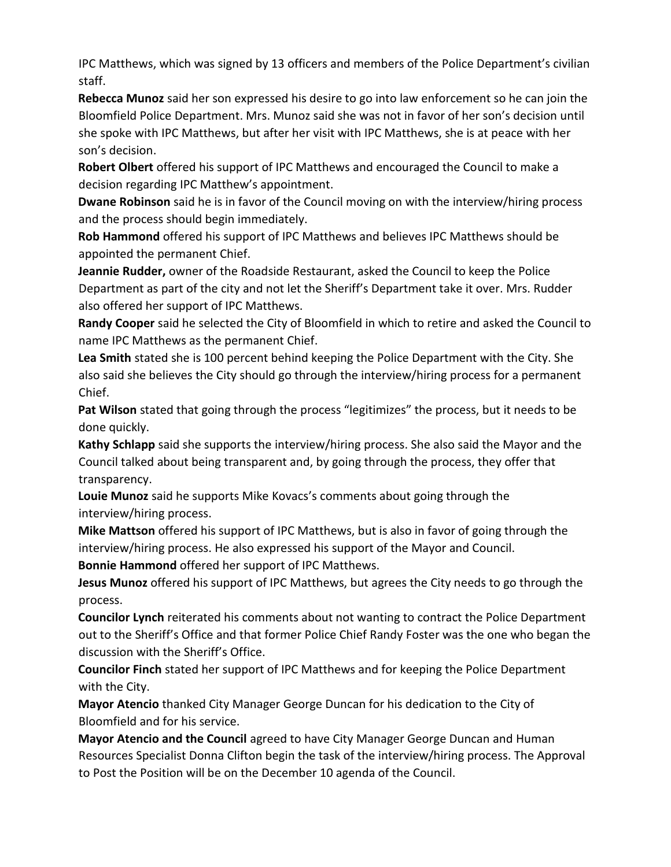IPC Matthews, which was signed by 13 officers and members of the Police Department's civilian staff.

**Rebecca Munoz** said her son expressed his desire to go into law enforcement so he can join the Bloomfield Police Department. Mrs. Munoz said she was not in favor of her son's decision until she spoke with IPC Matthews, but after her visit with IPC Matthews, she is at peace with her son's decision.

**Robert Olbert** offered his support of IPC Matthews and encouraged the Council to make a decision regarding IPC Matthew's appointment.

**Dwane Robinson** said he is in favor of the Council moving on with the interview/hiring process and the process should begin immediately.

**Rob Hammond** offered his support of IPC Matthews and believes IPC Matthews should be appointed the permanent Chief.

**Jeannie Rudder,** owner of the Roadside Restaurant, asked the Council to keep the Police Department as part of the city and not let the Sheriff's Department take it over. Mrs. Rudder also offered her support of IPC Matthews.

**Randy Cooper** said he selected the City of Bloomfield in which to retire and asked the Council to name IPC Matthews as the permanent Chief.

**Lea Smith** stated she is 100 percent behind keeping the Police Department with the City. She also said she believes the City should go through the interview/hiring process for a permanent Chief.

**Pat Wilson** stated that going through the process "legitimizes" the process, but it needs to be done quickly.

**Kathy Schlapp** said she supports the interview/hiring process. She also said the Mayor and the Council talked about being transparent and, by going through the process, they offer that transparency.

**Louie Munoz** said he supports Mike Kovacs's comments about going through the interview/hiring process.

**Mike Mattson** offered his support of IPC Matthews, but is also in favor of going through the interview/hiring process. He also expressed his support of the Mayor and Council.

**Bonnie Hammond** offered her support of IPC Matthews.

**Jesus Munoz** offered his support of IPC Matthews, but agrees the City needs to go through the process.

**Councilor Lynch** reiterated his comments about not wanting to contract the Police Department out to the Sheriff's Office and that former Police Chief Randy Foster was the one who began the discussion with the Sheriff's Office.

**Councilor Finch** stated her support of IPC Matthews and for keeping the Police Department with the City.

**Mayor Atencio** thanked City Manager George Duncan for his dedication to the City of Bloomfield and for his service.

**Mayor Atencio and the Council** agreed to have City Manager George Duncan and Human Resources Specialist Donna Clifton begin the task of the interview/hiring process. The Approval to Post the Position will be on the December 10 agenda of the Council.